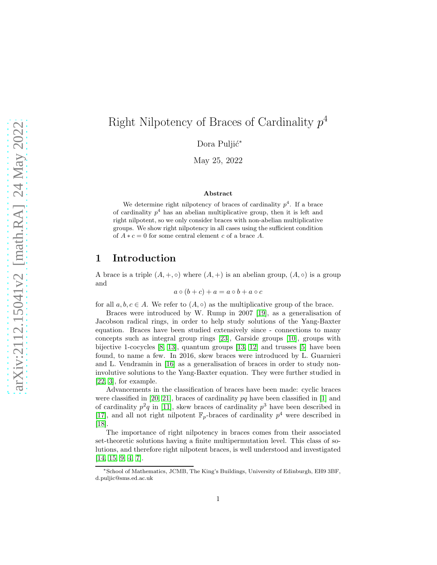# Right Nilpotency of Braces of Cardinality  $p^4$

Dora Puljić<sup>\*</sup>

May 25, 2022

#### Abstract

We determine right nilpotency of braces of cardinality  $p^4$ . If a brace of cardinality  $p^4$  has an abelian multiplicative group, then it is left and right nilpotent, so we only consider braces with non-abelian multiplicative groups. We show right nilpotency in all cases using the sufficient condition of  $A * c = 0$  for some central element c of a brace A.

## 1 Introduction

A brace is a triple  $(A, +, \circ)$  where  $(A, +)$  is an abelian group,  $(A, \circ)$  is a group and

$$
a \circ (b + c) + a = a \circ b + a \circ c
$$

for all  $a, b, c \in A$ . We refer to  $(A, \circ)$  as the multiplicative group of the brace.

Braces were introduced by W. Rump in 2007 [\[19\]](#page-12-0), as a generalisation of Jacobson radical rings, in order to help study solutions of the Yang-Baxter equation. Braces have been studied extensively since - connections to many concepts such as integral group rings [\[23\]](#page-12-1), Garside groups [\[10\]](#page-11-0), groups with bijective 1-cocycles [\[8,](#page-11-1) [13\]](#page-11-2), quantum groups [\[13,](#page-11-2) [12\]](#page-11-3) and trusses [\[5\]](#page-11-4) have been found, to name a few. In 2016, skew braces were introduced by L. Guarnieri and L. Vendramin in [\[16\]](#page-12-2) as a generalisation of braces in order to study noninvolutive solutions to the Yang-Baxter equation. They were further studied in [\[22,](#page-12-3) [3\]](#page-11-5), for example.

Advancements in the classification of braces have been made: cyclic braces were classified in [\[20,](#page-12-4) [21\]](#page-12-5), braces of cardinality  $pq$  have been classified in [\[1\]](#page-11-6) and of cardinality  $p^2q$  in [\[11\]](#page-11-7), skew braces of cardinality  $p^3$  have been described in [\[17\]](#page-12-6), and all not right nilpotent  $\mathbb{F}_p$ -braces of cardinality  $p^4$  were described in [\[18\]](#page-12-7).

The importance of right nilpotency in braces comes from their associated set-theoretic solutions having a finite multipermutation level. This class of solutions, and therefore right nilpotent braces, is well understood and investigated [\[14,](#page-11-8) [15,](#page-11-9) [9,](#page-11-10) [4,](#page-11-11) [7\]](#page-11-12).

<sup>∗</sup>School of Mathematics, JCMB, The King's Buildings, University of Edinburgh, EH9 3BF, d.puljic@sms.ed.ac.uk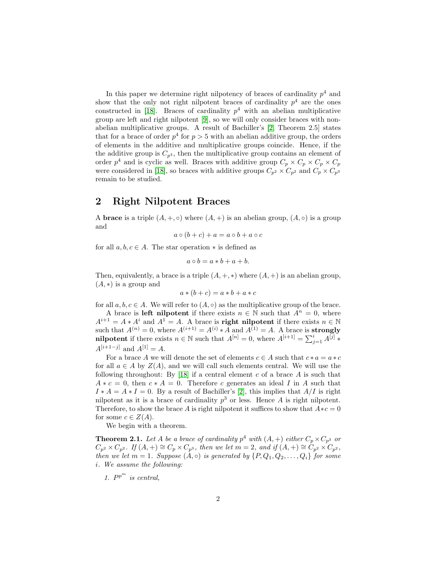In this paper we determine right nilpotency of braces of cardinality  $p<sup>4</sup>$  and show that the only not right nilpotent braces of cardinality  $p<sup>4</sup>$  are the ones constructed in [\[18\]](#page-12-7). Braces of cardinality  $p^4$  with an abelian multiplicative group are left and right nilpotent [\[9\]](#page-11-10), so we will only consider braces with nonabelian multiplicative groups. A result of Bachiller's [\[2,](#page-11-13) Theorem 2.5] states that for a brace of order  $p^4$  for  $p > 5$  with an abelian additive group, the orders of elements in the additive and multiplicative groups coincide. Hence, if the the additive group is  $C_{p^4}$ , then the multiplicative group contains an element of order  $p^4$  and is cyclic as well. Braces with additive group  $C_p \times C_p \times C_p \times C_p$ were considered in [\[18\]](#page-12-7), so braces with additive groups  $C_{p^2} \times C_{p^2}$  and  $C_p \times C_{p^3}$ remain to be studied.

## 2 Right Nilpotent Braces

A **brace** is a triple  $(A, +, \circ)$  where  $(A, +)$  is an abelian group,  $(A, \circ)$  is a group and

$$
a \circ (b + c) + a = a \circ b + a \circ c
$$

for all  $a, b, c \in A$ . The star operation  $*$  is defined as

$$
a \circ b = a * b + a + b.
$$

Then, equivalently, a brace is a triple  $(A, +, *)$  where  $(A, +)$  is an abelian group,  $(A, *)$  is a group and

$$
a * (b + c) = a * b + a * c
$$

for all  $a, b, c \in A$ . We will refer to  $(A, \circ)$  as the multiplicative group of the brace.

A brace is **left nilpotent** if there exists  $n \in \mathbb{N}$  such that  $A^n = 0$ , where  $A^{i+1} = A * A^i$  and  $A^1 = A$ . A brace is **right nilpotent** if there exists  $n \in \mathbb{N}$ such that  $A^{(n)} = 0$ , where  $A^{(i+1)} = A^{(i)} * A$  and  $A^{(1)} = A$ . A brace is **strongly nilpotent** if there exists  $n \in \mathbb{N}$  such that  $A^{[n]} = 0$ , where  $A^{[i+1]} = \sum_{j=1}^{i} A^{[j]}$ .  $A^{[i+1-j]}$  and  $A^{[1]} = A$ .

For a brace A we will denote the set of elements  $c \in A$  such that  $c * a = a * c$ for all  $a \in A$  by  $Z(A)$ , and we will call such elements central. We will use the following throughout: By  $[18]$  if a central element c of a brace A is such that  $A * c = 0$ , then  $c * A = 0$ . Therefore c generates an ideal I in A such that  $I * A = A * I = 0$ . By a result of Bachiller's [\[2\]](#page-11-13), this implies that  $A/I$  is right nilpotent as it is a brace of cardinality  $p^3$  or less. Hence A is right nilpotent. Therefore, to show the brace A is right nilpotent it suffices to show that  $A * c = 0$ for some  $c \in Z(A)$ .

We begin with a theorem.

<span id="page-1-0"></span>**Theorem 2.1.** Let A be a brace of cardinality  $p^4$  with  $(A, +)$  either  $C_p \times C_{p^3}$  or  $C_{p^2} \times C_{p^2}$ *.* If  $(A, +) \cong C_p \times C_{p^3}$ , then we let  $m = 2$ , and if  $(A, +) \cong C_{p^2} \times C_{p^2}$ , *then we let*  $m = 1$ *. Suppose*  $(A, \circ)$  *is generated by*  $\{P, Q_1, Q_2, \ldots, Q_i\}$  *for some* i*. We assume the following:*

1.  $P^{p^m}$  is central,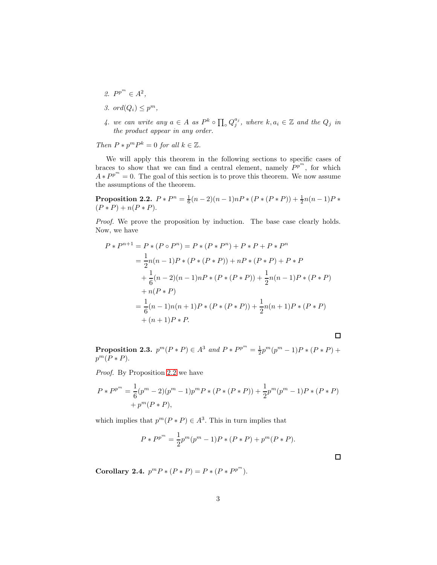- 2.  $P^{p^m} \in A^2$ ,
- 3. ord $(Q_i) \leq p^m$ ,
- 4. we can write any  $a \in A$  as  $P^k \circ \prod_{o} Q_j^{a_j}$ , where  $k, a_i \in \mathbb{Z}$  and the  $Q_j$  in *the product appear in any order.*

*Then*  $P * p^m P^k = 0$  *for all*  $k \in \mathbb{Z}$ *.* 

We will apply this theorem in the following sections to specific cases of braces to show that we can find a central element, namely  $P^{p^m}$ , for which  $A * P^{p^m} = 0$ . The goal of this section is to prove this theorem. We now assume the assumptions of the theorem.

<span id="page-2-0"></span>Proposition 2.2.  $P*P^n = \frac{1}{6}(n-2)(n-1)nP*(P*(P*P)) + \frac{1}{2}n(n-1)P*$  $(P * P) + n(P * P).$ 

*Proof.* We prove the proposition by induction. The base case clearly holds. Now, we have

$$
P * P^{n+1} = P * (P \circ P^n) = P * (P * P^n) + P * P + P * P^n
$$
  
=  $\frac{1}{2}n(n-1)P * (P * (P * P)) + nP * (P * P) + P * P$   
+  $\frac{1}{6}(n-2)(n-1)nP * (P * (P * P)) + \frac{1}{2}n(n-1)P * (P * P)$   
+  $n(P * P)$   
=  $\frac{1}{6}(n-1)n(n+1)P * (P * (P * P)) + \frac{1}{2}n(n+1)P * (P * P)$   
+  $(n+1)P * P$ .

**Proposition 2.3.**  $p^m(P * P) \in A^3$  and  $P * P^{p^m} = \frac{1}{2}p^m(p^m - 1)P * (P * P) +$  $p^m(P*P).$ 

 $\Box$ 

 $\Box$ 

*Proof.* By Proposition [2.2](#page-2-0) we have

$$
P * P^{p^m} = \frac{1}{6}(p^m - 2)(p^m - 1)p^m P * (P * (P * P)) + \frac{1}{2}p^m(p^m - 1)P * (P * P) + p^m(P * P),
$$

which implies that  $p^{m}(P * P) \in A^{3}$ . This in turn implies that

$$
P * P^{p^{m}} = \frac{1}{2} p^{m} (p^{m} - 1) P * (P * P) + p^{m} (P * P).
$$

Corollary 2.4.  $p^m P * (P * P) = P * (P * P^{p^m}).$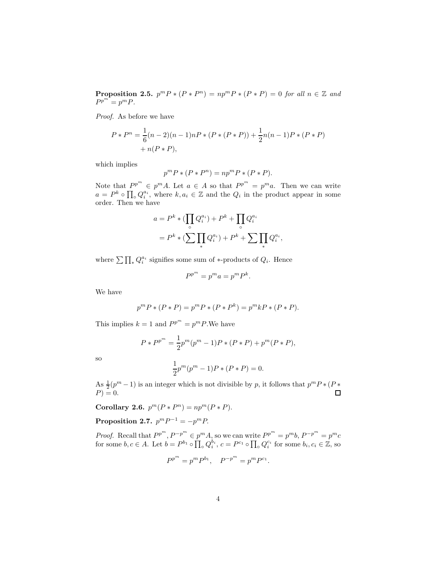**Proposition 2.5.**  $p^m P * (P * P^n) = np^m P * (P * P) = 0$  for all  $n \in \mathbb{Z}$  and  $P^{p^m} = p^m P$ .

*Proof.* As before we have

$$
P * Pn = \frac{1}{6}(n-2)(n-1)nP * (P * (P * P)) + \frac{1}{2}n(n-1)P * (P * P) + n(P * P),
$$

which implies

$$
p^m P \ast (P \ast P^n) = n p^m P \ast (P \ast P).
$$

Note that  $P^{p^m} \in p^m A$ . Let  $a \in A$  so that  $P^{p^m} = p^m a$ . Then we can write  $a = P^k \circ \prod_{o} Q_i^{a_i}$ , where  $k, a_i \in \mathbb{Z}$  and the  $Q_i$  in the product appear in some order. Then we have

$$
a = P^{k} * (\prod_{\circ} Q_{i}^{a_{i}}) + P^{k} + \prod_{\circ} Q_{i}^{a_{i}}
$$
  
=  $P^{k} * (\sum_{i} \prod_{i} Q_{i}^{a_{i}}) + P^{k} + \sum_{i} \prod_{i} Q_{i}^{a_{i}},$ 

where  $\sum \prod_{*} Q_i^{a_i}$  signifies some sum of \*-products of  $Q_i$ . Hence

$$
P^{p^m} = p^m a = p^m P^k.
$$

We have

$$
p^{m} P * (P * P) = p^{m} P * (P * P^{k}) = p^{m} k P * (P * P).
$$

This implies  $k = 1$  and  $P^{p^m} = p^m P$ . We have

$$
P * P^{p^{m}} = \frac{1}{2} p^{m} (p^{m} - 1) P * (P * P) + p^{m} (P * P),
$$

so

$$
\frac{1}{2}p^{m}(p^{m}-1)P * (P * P) = 0.
$$

As  $\frac{1}{2}(p^m-1)$  is an integer which is not divisible by p, it follows that  $p^m P * (P *$  $P$ ) = 0.  $\Box$ 

<span id="page-3-0"></span>Corollary 2.6.  $p^m(P*P^n) = np^m(P*P)$ .

Proposition 2.7.  $p^m P^{-1} = -p^m P$ .

*Proof.* Recall that  $P^{p^m}, P^{-p^m} \in p^m A$ , so we can write  $P^{p^m} = p^m b$ ,  $P^{-p^m} = p^m c$ for some  $b, c \in A$ . Let  $b = P^{b_1} \circ \prod_{\alpha} Q_i^{b_i}$ ,  $c = P^{c_1} \circ \prod_{\alpha} Q_i^{c_i}$  for some  $b_i, c_i \in \mathbb{Z}$ , so

$$
P^{p^m} = p^m P^{b_1}, \quad P^{-p^m} = p^m P^{c_1}.
$$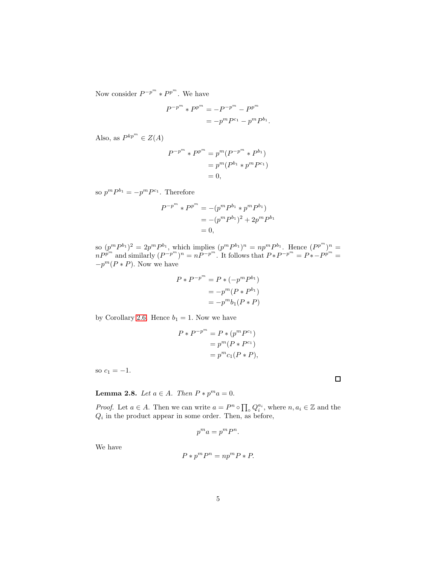Now consider  $P^{-p^m} * P^{p^m}$ . We have

$$
P^{-p^{m}} * P^{p^{m}} = -P^{-p^{m}} - P^{p^{m}}
$$

$$
= -p^{m} P^{c_1} - p^{m} P^{b_1}
$$

.

Also, as  $P^{kp^m} \in Z(A)$ 

$$
P^{-p^{m}} * P^{p^{m}} = p^{m} (P^{-p^{m}} * P^{b_{1}})
$$
  
=  $p^{m} (P^{b_{1}} * p^{m} P^{c_{1}})$   
= 0,

so  $p^m P^{b_1} = -p^m P^{c_1}$ . Therefore

$$
P^{-p^{m}} * P^{p^{m}} = -(p^{m} P^{b_{1}} * p^{m} P^{b_{1}})
$$
  
= -(p<sup>m</sup> P<sup>b\_{1</sup>)<sup>2</sup> + 2p<sup>m</sup> P<sup>b\_{1}</sup>  
= 0,

so  $(p^m P^{b_1})^2 = 2p^m P^{b_1}$ , which implies  $(p^m P^{b_1})^n = np^m P^{b_1}$ . Hence  $(P^{p^m})^n =$  $nP^{p^m}$  and similarly  $(P^{-p^m})^n = nP^{-p^m}$ . It follows that  $P*P^{-p^m} = P*-P^{p^m} =$  $-p^m(P * P)$ . Now we have

$$
P * P^{-p^{m}} = P * (-p^{m} P^{b_1})
$$
  
=  $-p^{m} (P * P^{b_1})$   
=  $-p^{m} b_1 (P * P)$ 

by Corollary [2.6.](#page-3-0) Hence  $b_1 = 1$ . Now we have

$$
P * P^{-p^{m}} = P * (p^{m} P^{c_1})
$$
  
=  $p^{m} (P * P^{c_1})$   
=  $p^{m} c_1 (P * P),$ 

so  $c_1 = -1$ .

**Lemma 2.8.** *Let*  $a \in A$ *. Then*  $P * p^m a = 0$ *.* 

*Proof.* Let  $a \in A$ . Then we can write  $a = P^n \circ \prod_{\alpha} Q_i^{a_i}$ , where  $n, a_i \in \mathbb{Z}$  and the  $Q_i$  in the product appear in some order. Then, as before,

$$
p^m a = p^m P^n.
$$

We have

$$
P * p^m P^n = n p^m P * P.
$$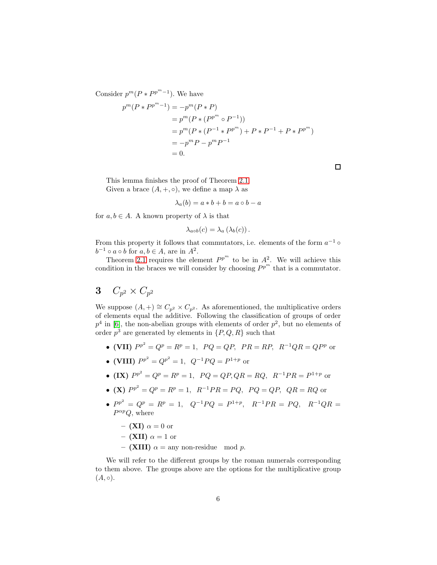Consider  $p^m(P * P^{p^m-1})$ . We have

$$
p^{m}(P * P^{p^{m}-1}) = -p^{m}(P * P)
$$
  
=  $p^{m}(P * (P^{p^{m}} \circ P^{-1}))$   
=  $p^{m}(P * (P^{-1} * P^{p^{m}}) + P * P^{-1} + P * P^{p^{m}})$   
=  $-p^{m}P - p^{m}P^{-1}$   
= 0.

This lemma finishes the proof of Theorem [2.1.](#page-1-0) Given a brace  $(A, +, \circ)$ , we define a map  $\lambda$  as

$$
\lambda_a(b) = a * b + b = a \circ b - a
$$

for  $a, b \in A$ . A known property of  $\lambda$  is that

$$
\lambda_{a\circ b}(c) = \lambda_a(\lambda_b(c)).
$$

From this property it follows that commutators, i.e. elements of the form  $a^{-1}$   $\circ$  $b^{-1} \circ a \circ b$  for  $a, b \in A$ , are in  $A^2$ .

Theorem [2.1](#page-1-0) requires the element  $P^{p^m}$  to be in  $A^2$ . We will achieve this condition in the braces we will consider by choosing  $P^{p^m}$  that is a commutator.

# $3\quad C_{p^2}\times C_{p^2}$

We suppose  $(A,+) \cong C_{p^2} \times C_{p^2}$ . As aforementioned, the multiplicative orders of elements equal the additive. Following the classification of groups of order  $p<sup>4</sup>$  in [\[6\]](#page-11-14), the non-abelian groups with elements of order  $p<sup>2</sup>$ , but no elements of order  $p^3$  are generated by elements in  $\{P, Q, R\}$  such that

- (VII)  $P^{p^2} = Q^p = R^p = 1$ ,  $PQ = QP$ ,  $PR = RP$ ,  $R^{-1}QR = QP^p$  or
- (VIII)  $P^{p^2} = Q^{p^2} = 1$ ,  $Q^{-1}PQ = P^{1+p}$  or
- (IX)  $P^{p^2} = Q^p = R^p = 1$ ,  $PQ = QP, QR = RQ$ ,  $R^{-1}PR = P^{1+p}$  or
- (X)  $P^{p^2} = Q^p = R^p = 1$ ,  $R^{-1}PR = PQ$ ,  $PQ = QP$ ,  $QR = RQ$  or
- $P^{p^2} = Q^p = R^p = 1$ ,  $Q^{-1}PQ = P^{1+p}$ ,  $R^{-1}PR = PQ$ ,  $R^{-1}QR =$  $P^{\alpha p}Q$ , where
	- (XI)  $\alpha = 0$  or

$$
- (\mathbf{XII}) \alpha = 1 \text{ or}
$$

– (XIII)  $\alpha$  = any non-residue mod p.

We will refer to the different groups by the roman numerals corresponding to them above. The groups above are the options for the multiplicative group  $(A, \circ).$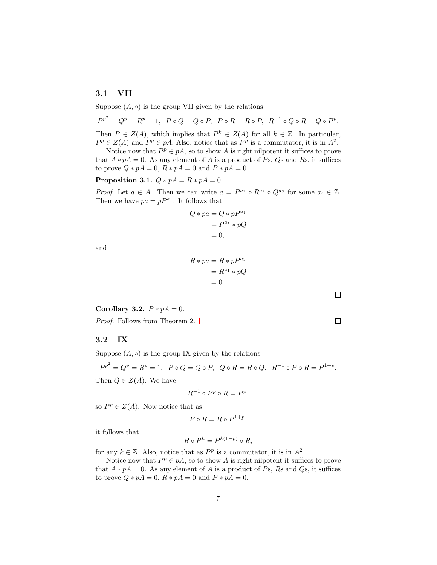## 3.1 VII

Suppose  $(A, \circ)$  is the group VII given by the relations

 $P^{p^2} = Q^p = R^p = 1$ ,  $P \circ Q = Q \circ P$ ,  $P \circ R = R \circ P$ ,  $R^{-1} \circ Q \circ R = Q \circ P^p$ .

Then  $P \in Z(A)$ , which implies that  $P^k \in Z(A)$  for all  $k \in \mathbb{Z}$ . In particular,  $P^p \in Z(A)$  and  $P^p \in pA$ . Also, notice that as  $P^p$  is a commutator, it is in  $A^2$ .

Notice now that  $P^p \in pA$ , so to show A is right nilpotent it suffices to prove that  $A * pA = 0$ . As any element of A is a product of Ps, Qs and Rs, it suffices to prove  $Q * pA = 0$ ,  $R * pA = 0$  and  $P * pA = 0$ .

Proposition 3.1.  $Q * pA = R * pA = 0$ .

*Proof.* Let  $a \in A$ . Then we can write  $a = P^{a_1} \circ R^{a_2} \circ Q^{a_3}$  for some  $a_i \in \mathbb{Z}$ . Then we have  $pa = pP^{a_1}$ . It follows that

$$
Q * pa = Q * pPa1
$$
  
= P<sup>a<sub>1</sub></sup> \* pQ  
= 0,

and

$$
R * pa = R * pPa1
$$
  
=  $Ra1 * pQ$   
= 0.

Corollary 3.2.  $P * pA = 0$ .

*Proof.* Follows from Theorem [2.1.](#page-1-0)

#### 3.2 IX

Suppose  $(A, \circ)$  is the group IX given by the relations

$$
P^{p^2} = Q^p = R^p = 1, \ P \circ Q = Q \circ P, \ Q \circ R = R \circ Q, \ R^{-1} \circ P \circ R = P^{1+p}.
$$
  
Then  $Q \in Z(A)$ . We have

$$
R^{-1}\circ P^p\circ R=P^p,
$$

so  $P^p \in Z(A)$ . Now notice that as

$$
P \circ R = R \circ P^{1+p},
$$

it follows that

$$
R \circ P^k = P^{k(1-p)} \circ R,
$$

for any  $k \in \mathbb{Z}$ . Also, notice that as  $P^p$  is a commutator, it is in  $A^2$ .

Notice now that  $P^p \in pA$ , so to show A is right nilpotent it suffices to prove that  $A * pA = 0$ . As any element of A is a product of Ps, Rs and Qs, it suffices to prove  $Q * pA = 0$ ,  $R * pA = 0$  and  $P * pA = 0$ .

 $\square$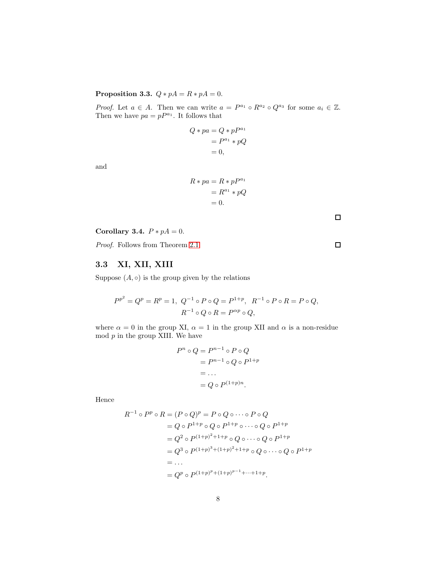## Proposition 3.3.  $Q * pA = R * pA = 0$ .

*Proof.* Let  $a \in A$ . Then we can write  $a = P^{a_1} \circ R^{a_2} \circ Q^{a_3}$  for some  $a_i \in \mathbb{Z}$ . Then we have  $pa = pP^{a_1}$ . It follows that

$$
Q * pa = Q * pP^{a_1}
$$
  
=  $P^{a_1} * pQ$   
= 0,

and

$$
R * pa = R * pP^{a_1}
$$

$$
= R^{a_1} * pQ
$$

$$
= 0.
$$

Corollary 3.4.  $P * pA = 0$ .

*Proof.* Follows from Theorem [2.1.](#page-1-0)

## 3.3 XI, XII, XIII

Suppose  $(A, \circ)$  is the group given by the relations

$$
P^{p^2} = Q^p = R^p = 1, \ Q^{-1} \circ P \circ Q = P^{1+p}, \ R^{-1} \circ P \circ R = P \circ Q,
$$
  

$$
R^{-1} \circ Q \circ R = P^{\alpha p} \circ Q,
$$

where  $\alpha = 0$  in the group XI,  $\alpha = 1$  in the group XII and  $\alpha$  is a non-residue mod  $p$  in the group XIII. We have

$$
P^n \circ Q = P^{n-1} \circ P \circ Q
$$

$$
= P^{n-1} \circ Q \circ P^{1+p}
$$

$$
= \dots
$$

$$
= Q \circ P^{(1+p)n}.
$$

Hence

$$
R^{-1} \circ P^p \circ R = (P \circ Q)^p = P \circ Q \circ \cdots \circ P \circ Q
$$
  
=  $Q \circ P^{1+p} \circ Q \circ P^{1+p} \circ \cdots \circ Q \circ P^{1+p}$   
=  $Q^2 \circ P^{(1+p)^2+1+p} \circ Q \circ \cdots \circ Q \circ P^{1+p}$   
=  $Q^3 \circ P^{(1+p)^3+(1+p)^2+1+p} \circ Q \circ \cdots \circ Q \circ P^{1+p}$   
=  $\cdots$   
=  $Q^p \circ P^{(1+p)^p+(1+p)^{p-1}+\cdots+1+p}$ .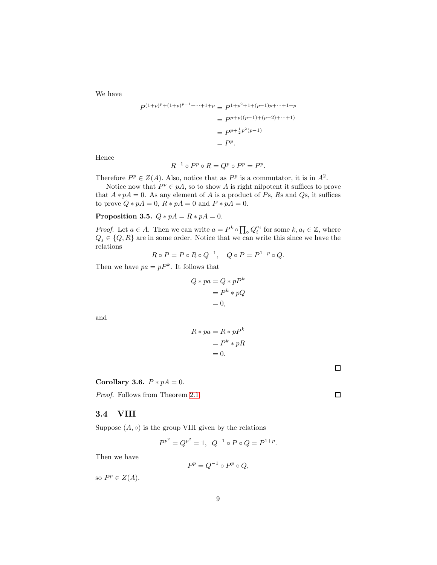We have

$$
P^{(1+p)^p + (1+p)^{p-1} + \dots + 1+p} = P^{1+p^2+1+(p-1)p + \dots + 1+p}
$$
  
=  $P^{p+p((p-1)+(p-2)+\dots + 1)}$   
=  $P^{p+\frac{1}{2}p^2(p-1)}$   
=  $P^p$ .

Hence

$$
R^{-1}\circ P^p\circ R=Q^p\circ P^p=P^p.
$$

Therefore  $P^p \in Z(A)$ . Also, notice that as  $P^p$  is a commutator, it is in  $A^2$ .

Notice now that  $P^p \in pA$ , so to show A is right nilpotent it suffices to prove that  $A * pA = 0$ . As any element of A is a product of Ps, Rs and Qs, it suffices to prove  $Q * pA = 0$ ,  $R * pA = 0$  and  $P * pA = 0$ .

Proposition 3.5.  $Q * pA = R * pA = 0$ .

*Proof.* Let  $a \in A$ . Then we can write  $a = P^k \circ \prod_{\alpha} Q_i^{a_i}$  for some  $k, a_i \in \mathbb{Z}$ , where  $Q_j \in \{Q, R\}$  are in some order. Notice that we can write this since we have the relations

$$
R\circ P=P\circ R\circ Q^{-1},\quad Q\circ P=P^{1-p}\circ Q.
$$

Then we have  $pa = pP^k$ . It follows that

$$
Q * pa = Q * pPk
$$
  
=  $Pk * pQ$   
= 0,

and

$$
R * pa = R * pPk
$$

$$
= Pk * pR
$$

$$
= 0.
$$

 $\Box$ 

 $\Box$ 

#### Corollary 3.6.  $P * pA = 0$ .

*Proof.* Follows from Theorem [2.1.](#page-1-0)

### 3.4 VIII

Suppose  $(A, \circ)$  is the group VIII given by the relations

$$
P^{p^2} = Q^{p^2} = 1, \ \ Q^{-1} \circ P \circ Q = P^{1+p}.
$$

Then we have

$$
P^p = Q^{-1} \circ P^p \circ Q,
$$

so  $P^p \in Z(A)$ .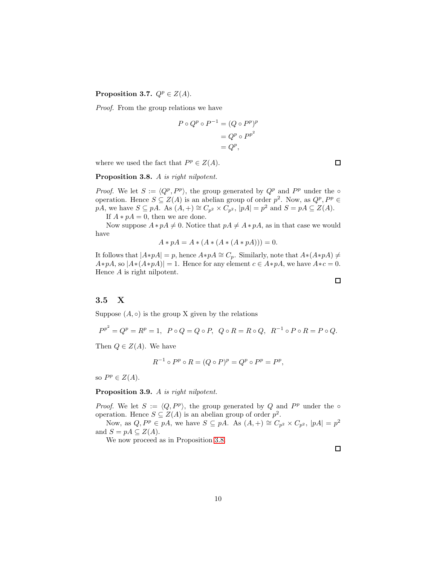### Proposition 3.7.  $Q^p \in Z(A)$ .

*Proof.* From the group relations we have

$$
P \circ Q^p \circ P^{-1} = (Q \circ P^p)^p
$$

$$
= Q^p \circ P^{p^2}
$$

$$
= Q^p,
$$

where we used the fact that  $P^p \in Z(A)$ .

<span id="page-9-0"></span>Proposition 3.8. A *is right nilpotent.*

*Proof.* We let  $S := \langle Q^p, P^p \rangle$ , the group generated by  $Q^p$  and  $P^p$  under the  $\circ$ operation. Hence  $S \subseteq Z(A)$  is an abelian group of order  $p^2$ . Now, as  $Q^p, P^p \in$  $p\overline{A}$ , we have  $S \subseteq p\overline{A}$ . As  $(A,+) \cong C_{p^2} \times C_{p^2}$ ,  $|p\overline{A}| = p^2$  and  $S = p\overline{A} \subseteq Z(A)$ .

If  $A * pA = 0$ , then we are done.

Now suppose  $A * pA \neq 0$ . Notice that  $pA \neq A * pA$ , as in that case we would have

$$
A * pA = A * (A * (A * (A * pA))) = 0.
$$

It follows that  $|A * pA| = p$ , hence  $A * pA \cong C_p$ . Similarly, note that  $A * (A * pA) \neq$  $A * pA$ , so  $|A * (A * pA)| = 1$ . Hence for any element  $c \in A * pA$ , we have  $A * c = 0$ . Hence A is right nilpotent.

## 3.5 X

Suppose  $(A, \circ)$  is the group X given by the relations

 $P^{p^2} = Q^p = R^p = 1$ ,  $P \circ Q = Q \circ P$ ,  $Q \circ R = R \circ Q$ ,  $R^{-1} \circ P \circ R = P \circ Q$ .

Then  $Q \in Z(A)$ . We have

$$
R^{-1} \circ P^p \circ R = (Q \circ P)^p = Q^p \circ P^p = P^p,
$$

so  $P^p \in Z(A)$ .

#### Proposition 3.9. A *is right nilpotent.*

*Proof.* We let  $S := \langle Q, P^p \rangle$ , the group generated by Q and  $P^p$  under the  $\circ$ operation. Hence  $S \subseteq Z(A)$  is an abelian group of order  $p^2$ .

Now, as  $Q, P^p \in pA$ , we have  $S \subseteq pA$ . As  $(A, +) \cong C_{p^2} \times C_{p^2}$ ,  $|pA| = p^2$ and  $S = pA \subseteq Z(A)$ .

We now proceed as in Proposition [3.8.](#page-9-0)

 $\Box$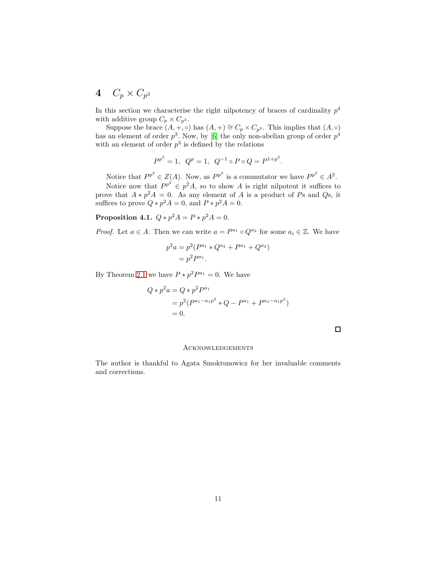## $4\quad C_p\times C_{p^3}$

In this section we characterise the right nilpotency of braces of cardinality  $p<sup>4</sup>$ with additive group  $C_p \times C_{p^3}$ .

Suppose the brace  $(A, +, \circ)$  has  $(A, +) \cong C_p \times C_{p^3}$ . This implies that  $(A, \circ)$ has an element of order  $p^3$ . Now, by [\[6\]](#page-11-14) the only non-abelian group of order  $p^4$ with an element of order  $p^3$  is defined by the relations

$$
P^{p^3} = 1
$$
,  $Q^p = 1$ ,  $Q^{-1} \circ P \circ Q = P^{1+p^2}$ .

Notice that  $P^{p^2} \in Z(A)$ . Now, as  $P^{p^2}$  is a commutator we have  $P^{p^2} \in A^2$ . Notice now that  $P^{p^2} \in p^2 A$ , so to show A is right nilpotent it suffices to prove that  $A * p^2 A = 0$ . As any element of A is a product of Ps and Qs, it suffices to prove  $Q * p^2 A = 0$ , and  $P * p^2 A = 0$ .

**Proposition 4.1.**  $Q * p^2 A = P * p^2 A = 0$ .

*Proof.* Let  $a \in A$ . Then we can write  $a = P^{a_1} \circ Q^{a_2}$  for some  $a_i \in \mathbb{Z}$ . We have

$$
p2a = p2(Pa1 * Qa2 + Pa1 + Qa2)
$$
  
=  $p2Pa1$ .

By Theorem [2.1](#page-1-0) we have  $P * p^2 P^{a_1} = 0$ . We have

$$
Q * p2a = Q * p2Pa1
$$
  
=  $p2(Pa1-a1p2 * Q - Pa1 + Pa1-a1p2)$   
= 0.

 $\Box$ 

#### **ACKNOWLEDGEMENTS**

The author is thankful to Agata Smoktunowicz for her invaluable comments and corrections.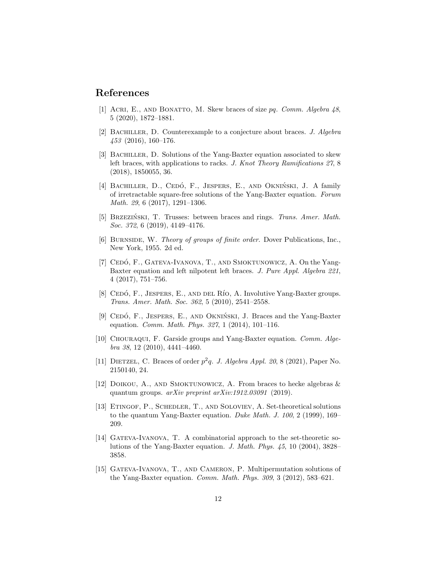## <span id="page-11-6"></span>References

- <span id="page-11-13"></span>[1] Acri, E., and Bonatto, M. Skew braces of size pq. *Comm. Algebra 48*, 5 (2020), 1872–1881.
- [2] Bachiller, D. Counterexample to a conjecture about braces. *J. Algebra 453* (2016), 160–176.
- <span id="page-11-5"></span>[3] Bachiller, D. Solutions of the Yang-Baxter equation associated to skew left braces, with applications to racks. *J. Knot Theory Ramifications 27*, 8 (2018), 1850055, 36.
- <span id="page-11-11"></span>[4] BACHILLER, D., CEDÓ, F., JESPERS, E., AND OKNIŃSKI, J. A family of irretractable square-free solutions of the Yang-Baxter equation. *Forum Math. 29*, 6 (2017), 1291–1306.
- <span id="page-11-4"></span>[5] Brzezinski, T. ´ Trusses: between braces and rings. *Trans. Amer. Math. Soc. 372*, 6 (2019), 4149–4176.
- <span id="page-11-14"></span>[6] Burnside, W. *Theory of groups of finite order*. Dover Publications, Inc., New York, 1955. 2d ed.
- <span id="page-11-12"></span>[7] CEDÓ, F., GATEVA-IVANOVA, T., AND SMOKTUNOWICZ, A. On the Yang-Baxter equation and left nilpotent left braces. *J. Pure Appl. Algebra 221*, 4 (2017), 751–756.
- <span id="page-11-1"></span>[8] CEDÓ, F., JESPERS, E., AND DEL RÍO, A. Involutive Yang-Baxter groups. *Trans. Amer. Math. Soc. 362*, 5 (2010), 2541–2558.
- <span id="page-11-10"></span>[9] CEDÓ, F., JESPERS, E., AND OKNIŃSKI, J. Braces and the Yang-Baxter equation. *Comm. Math. Phys. 327*, 1 (2014), 101–116.
- <span id="page-11-0"></span>[10] Chouraqui, F. Garside groups and Yang-Baxter equation. *Comm. Algebra 38*, 12 (2010), 4441–4460.
- <span id="page-11-7"></span>[11] DIETZEL, C. Braces of order  $p^2q$ . *J. Algebra Appl. 20*, 8 (2021), Paper No. 2150140, 24.
- <span id="page-11-3"></span>[12] DOIKOU, A., AND SMOKTUNOWICZ, A. From braces to hecke algebras  $\&$ quantum groups. *arXiv preprint arXiv:1912.03091* (2019).
- <span id="page-11-2"></span>[13] Etingof, P., Schedler, T., and Soloviev, A. Set-theoretical solutions to the quantum Yang-Baxter equation. *Duke Math. J. 100*, 2 (1999), 169– 209.
- <span id="page-11-8"></span>[14] Gateva-Ivanova, T. A combinatorial approach to the set-theoretic solutions of the Yang-Baxter equation. *J. Math. Phys. 45*, 10 (2004), 3828– 3858.
- <span id="page-11-9"></span>[15] GATEVA-IVANOVA, T., AND CAMERON, P. Multipermutation solutions of the Yang-Baxter equation. *Comm. Math. Phys. 309*, 3 (2012), 583–621.